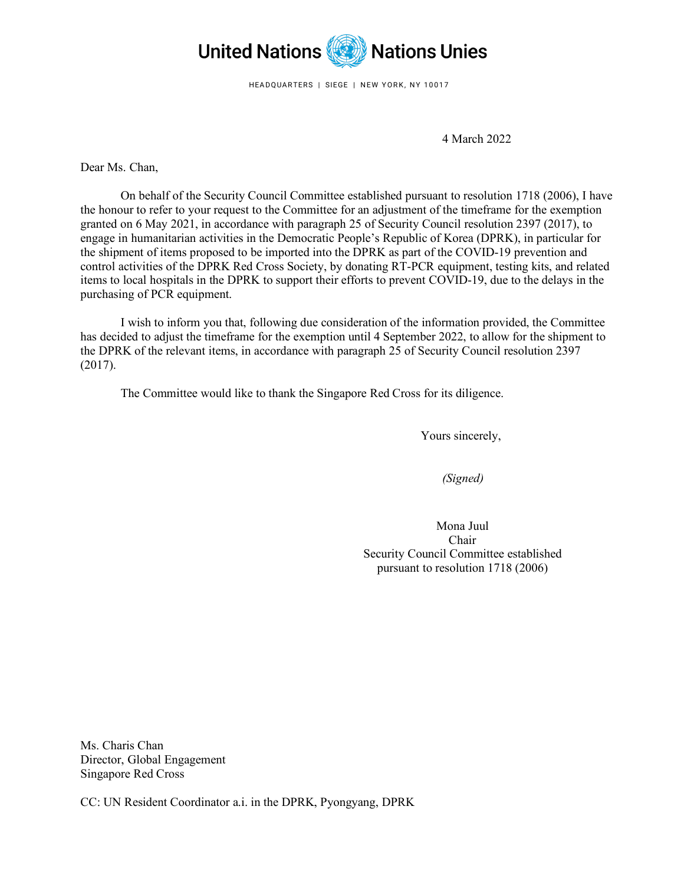

HEADQUARTERS | SIEGE | NEW YORK, NY 10017

4 March 2022

Dear Ms. Chan,

On behalf of the Security Council Committee established pursuant to resolution 1718 (2006), I have the honour to refer to your request to the Committee for an adjustment of the timeframe for the exemption granted on 6 May 2021, in accordance with paragraph 25 of Security Council resolution 2397 (2017), to engage in humanitarian activities in the Democratic People's Republic of Korea (DPRK), in particular for the shipment of items proposed to be imported into the DPRK as part of the COVID-19 prevention and control activities of the DPRK Red Cross Society, by donating RT-PCR equipment, testing kits, and related items to local hospitals in the DPRK to support their efforts to prevent COVID-19, due to the delays in the purchasing of PCR equipment.

I wish to inform you that, following due consideration of the information provided, the Committee has decided to adjust the timeframe for the exemption until 4 September 2022, to allow for the shipment to the DPRK of the relevant items, in accordance with paragraph 25 of Security Council resolution 2397 (2017).

The Committee would like to thank the Singapore Red Cross for its diligence.

Yours sincerely,

*(Signed)*

Mona Juul Chair Security Council Committee established pursuant to resolution 1718 (2006)

Ms. Charis Chan Director, Global Engagement Singapore Red Cross

CC: UN Resident Coordinator a.i. in the DPRK, Pyongyang, DPRK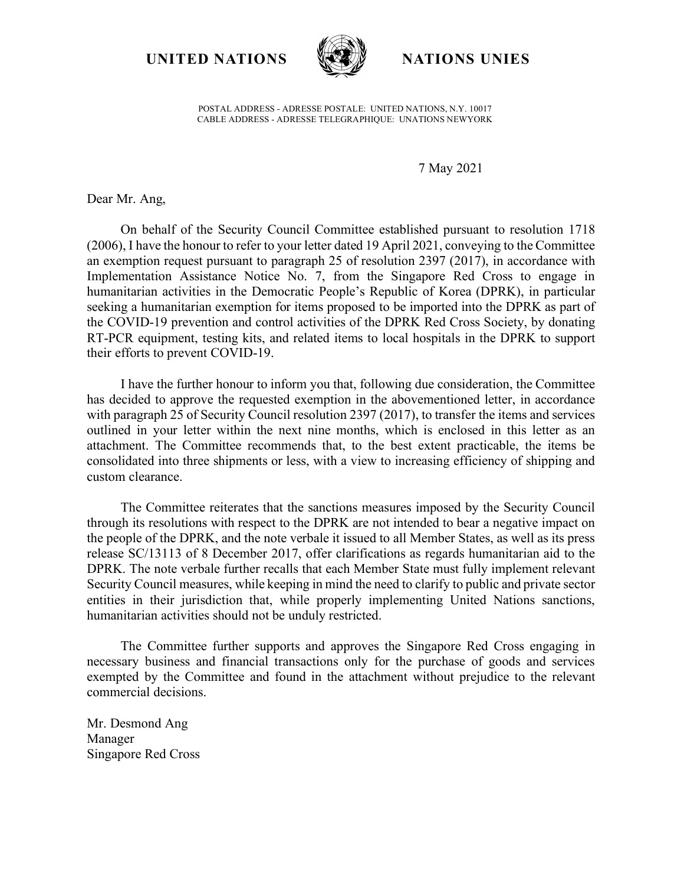**UNITED NATIONS NATIONS UNIES**



POSTAL ADDRESS - ADRESSE POSTALE: UNITED NATIONS, N.Y. 10017 CABLE ADDRESS - ADRESSE TELEGRAPHIQUE: UNATIONS NEWYORK

## 7 May 2021

Dear Mr. Ang,

On behalf of the Security Council Committee established pursuant to resolution 1718 (2006), I have the honour to refer to your letter dated 19 April 2021, conveying to the Committee an exemption request pursuant to paragraph 25 of resolution 2397 (2017), in accordance with Implementation Assistance Notice No. 7, from the Singapore Red Cross to engage in humanitarian activities in the Democratic People's Republic of Korea (DPRK), in particular seeking a humanitarian exemption for items proposed to be imported into the DPRK as part of the COVID-19 prevention and control activities of the DPRK Red Cross Society, by donating RT-PCR equipment, testing kits, and related items to local hospitals in the DPRK to support their efforts to prevent COVID-19.

I have the further honour to inform you that, following due consideration, the Committee has decided to approve the requested exemption in the abovementioned letter, in accordance with paragraph 25 of Security Council resolution 2397 (2017), to transfer the items and services outlined in your letter within the next nine months, which is enclosed in this letter as an attachment. The Committee recommends that, to the best extent practicable, the items be consolidated into three shipments or less, with a view to increasing efficiency of shipping and custom clearance.

The Committee reiterates that the sanctions measures imposed by the Security Council through its resolutions with respect to the DPRK are not intended to bear a negative impact on the people of the DPRK, and the note verbale it issued to all Member States, as well as its press release SC/13113 of 8 December 2017, offer clarifications as regards humanitarian aid to the DPRK. The note verbale further recalls that each Member State must fully implement relevant Security Council measures, while keeping in mind the need to clarify to public and private sector entities in their jurisdiction that, while properly implementing United Nations sanctions, humanitarian activities should not be unduly restricted.

The Committee further supports and approves the Singapore Red Cross engaging in necessary business and financial transactions only for the purchase of goods and services exempted by the Committee and found in the attachment without prejudice to the relevant commercial decisions.

Mr. Desmond Ang Manager Singapore Red Cross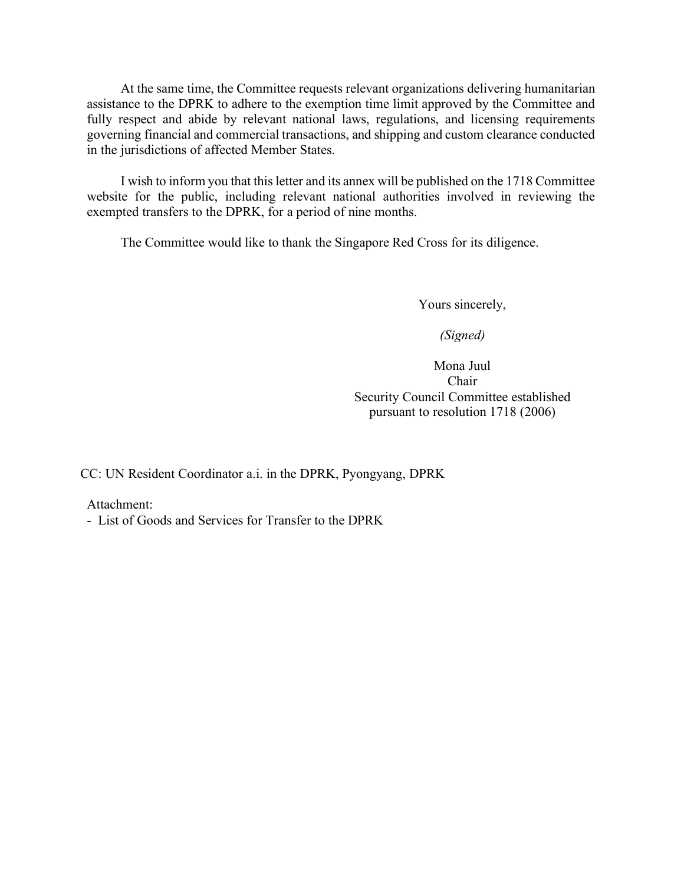At the same time, the Committee requests relevant organizations delivering humanitarian assistance to the DPRK to adhere to the exemption time limit approved by the Committee and fully respect and abide by relevant national laws, regulations, and licensing requirements governing financial and commercial transactions, and shipping and custom clearance conducted in the jurisdictions of affected Member States.

I wish to inform you that this letter and its annex will be published on the 1718 Committee website for the public, including relevant national authorities involved in reviewing the exempted transfers to the DPRK, for a period of nine months.

The Committee would like to thank the Singapore Red Cross for its diligence.

Yours sincerely,

*(Signed)*

Mona Juul Chair Security Council Committee established pursuant to resolution 1718 (2006)

CC: UN Resident Coordinator a.i. in the DPRK, Pyongyang, DPRK

Attachment:

- List of Goods and Services for Transfer to the DPRK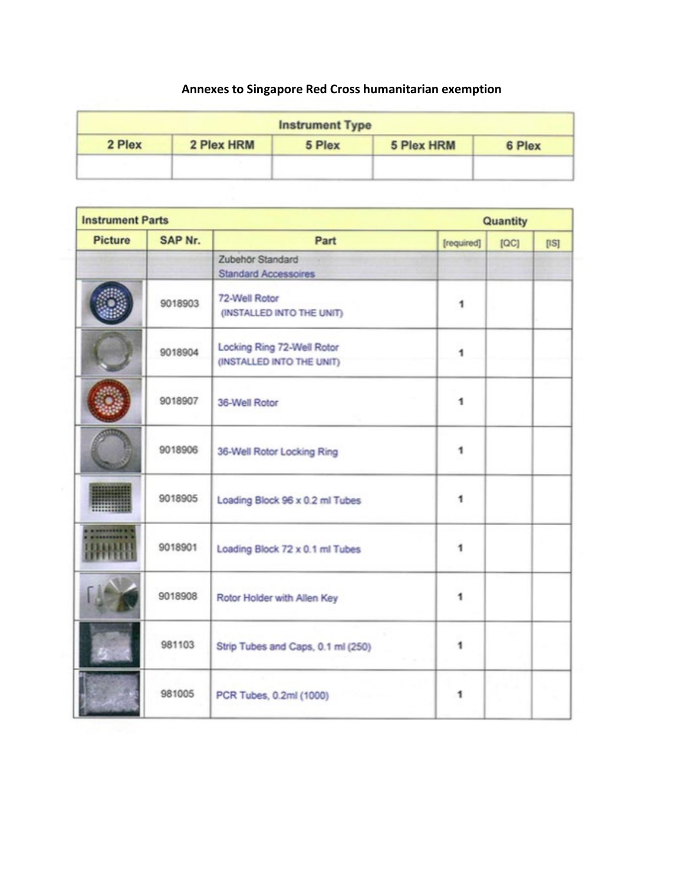## **Annexes to Singapore Red Cross humanitarian exemption**

|        |            | <b>Instrument Type</b> |            |        |
|--------|------------|------------------------|------------|--------|
| 2 Plex | 2 Plex HRM | 5 Plex                 | 5 Plex HRM | 6 Plex |
|        |            |                        |            |        |

| <b>Instrument Parts</b> |         |                                                         | Quantity   |      |      |
|-------------------------|---------|---------------------------------------------------------|------------|------|------|
| <b>Picture</b>          | SAP Nr. | Part                                                    | [required] | [OC] | [1S] |
|                         |         | Zubehör Standard<br><b>Standard Accessoires</b>         |            |      |      |
|                         | 9018903 | 72-Well Rotor<br>(INSTALLED INTO THE UNIT)              | 1          |      |      |
|                         | 9018904 | Locking Ring 72-Well Rotor<br>(INSTALLED INTO THE UNIT) | 1          |      |      |
|                         | 9018907 | 36-Well Rotor                                           | 1          |      |      |
|                         | 9018906 | 36-Well Rotor Locking Ring                              | 1          |      |      |
|                         | 9018905 | Loading Block 96 x 0.2 ml Tubes                         | 1          |      |      |
|                         | 9018901 | Loading Block 72 x 0.1 ml Tubes                         | 1          |      |      |
|                         | 9018908 | Rotor Holder with Allen Key                             | 1          |      |      |
|                         | 981103  | Strip Tubes and Caps, 0.1 ml (250)                      | 1          |      |      |
|                         | 981005  | PCR Tubes, 0.2ml (1000)                                 | 1          |      |      |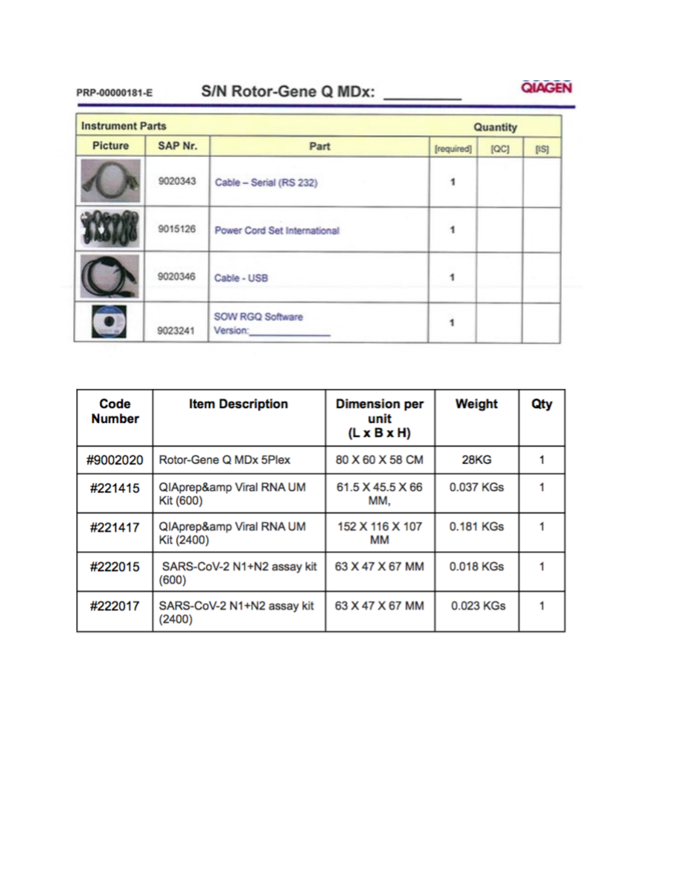## S/N Rotor-Gene Q MDx: PRP-00000181-E



| <b>Instrument Parts</b> |         |                                                                                |            | Quantity |       |  |
|-------------------------|---------|--------------------------------------------------------------------------------|------------|----------|-------|--|
| <b>Picture</b>          | SAP Nr. | Part                                                                           | [required] | [QC]     | [ S ] |  |
|                         | 9020343 | Cable - Serial (RS 232)                                                        |            |          |       |  |
|                         | 9015126 | Power Cord Set International                                                   |            |          |       |  |
|                         | 9020346 | Cable - USB                                                                    |            |          |       |  |
|                         | 9023241 | SOW RGQ Software<br>Version: <b>William Street Street Street Street Street</b> |            |          |       |  |

| Code<br><b>Number</b> | <b>Item Description</b>              | <b>Dimension per</b><br>unit<br>$(L \times B \times H)$ | Weight    | Qty |
|-----------------------|--------------------------------------|---------------------------------------------------------|-----------|-----|
| #9002020              | Rotor-Gene Q MDx 5Plex               | 80 X 60 X 58 CM                                         | 28KG      |     |
| #221415               | QIAprep& Viral RNA UM<br>Kit (600)   | 61.5 X 45.5 X 66<br>MM.                                 | 0.037 KGs |     |
| #221417               | QIAprep& Viral RNA UM<br>Kit (2400)  | 152 X 116 X 107<br>MM                                   | 0.181 KGs |     |
| #222015               | SARS-CoV-2 N1+N2 assay kit<br>(600)  | 63 X 47 X 67 MM                                         | 0.018 KGs |     |
| #222017               | SARS-CoV-2 N1+N2 assay kit<br>(2400) | 63 X 47 X 67 MM                                         | 0.023 KGs |     |